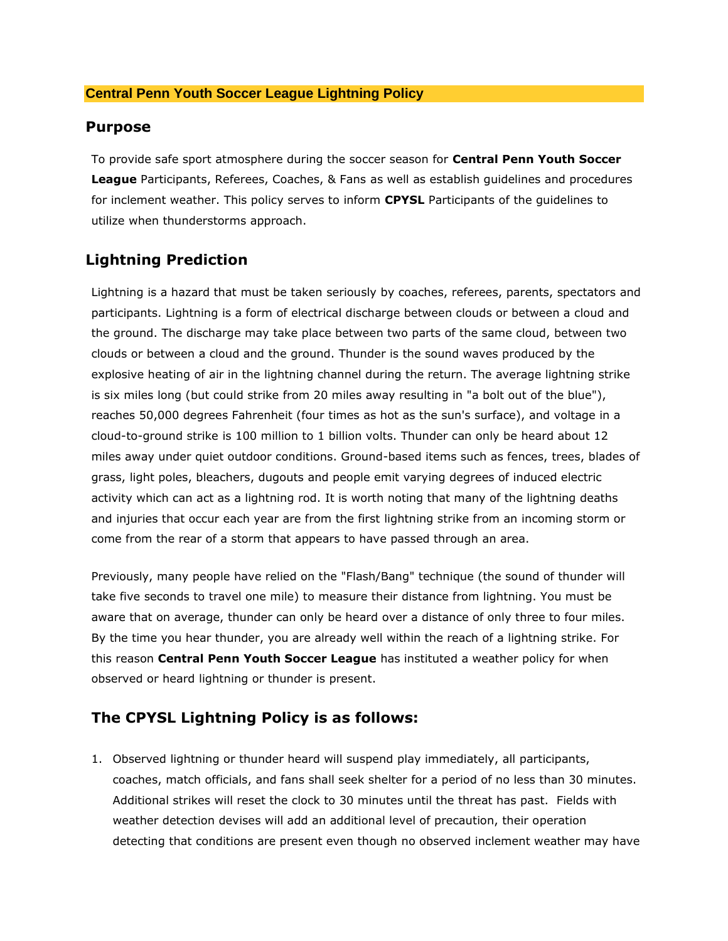### **Central Penn Youth Soccer League Lightning Policy**

### **Purpose**

To provide safe sport atmosphere during the soccer season for **Central Penn Youth Soccer League** Participants, Referees, Coaches, & Fans as well as establish guidelines and procedures for inclement weather. This policy serves to inform **CPYSL** Participants of the guidelines to utilize when thunderstorms approach.

## **Lightning Prediction**

Lightning is a hazard that must be taken seriously by coaches, referees, parents, spectators and participants. Lightning is a form of electrical discharge between clouds or between a cloud and the ground. The discharge may take place between two parts of the same cloud, between two clouds or between a cloud and the ground. Thunder is the sound waves produced by the explosive heating of air in the lightning channel during the return. The average lightning strike is six miles long (but could strike from 20 miles away resulting in "a bolt out of the blue"), reaches 50,000 degrees Fahrenheit (four times as hot as the sun's surface), and voltage in a cloud-to-ground strike is 100 million to 1 billion volts. Thunder can only be heard about 12 miles away under quiet outdoor conditions. Ground-based items such as fences, trees, blades of grass, light poles, bleachers, dugouts and people emit varying degrees of induced electric activity which can act as a lightning rod. It is worth noting that many of the lightning deaths and injuries that occur each year are from the first lightning strike from an incoming storm or come from the rear of a storm that appears to have passed through an area.

Previously, many people have relied on the "Flash/Bang" technique (the sound of thunder will take five seconds to travel one mile) to measure their distance from lightning. You must be aware that on average, thunder can only be heard over a distance of only three to four miles. By the time you hear thunder, you are already well within the reach of a lightning strike. For this reason **Central Penn Youth Soccer League** has instituted a weather policy for when observed or heard lightning or thunder is present.

# **The CPYSL Lightning Policy is as follows:**

1. Observed lightning or thunder heard will suspend play immediately, all participants, coaches, match officials, and fans shall seek shelter for a period of no less than 30 minutes. Additional strikes will reset the clock to 30 minutes until the threat has past. Fields with weather detection devises will add an additional level of precaution, their operation detecting that conditions are present even though no observed inclement weather may have